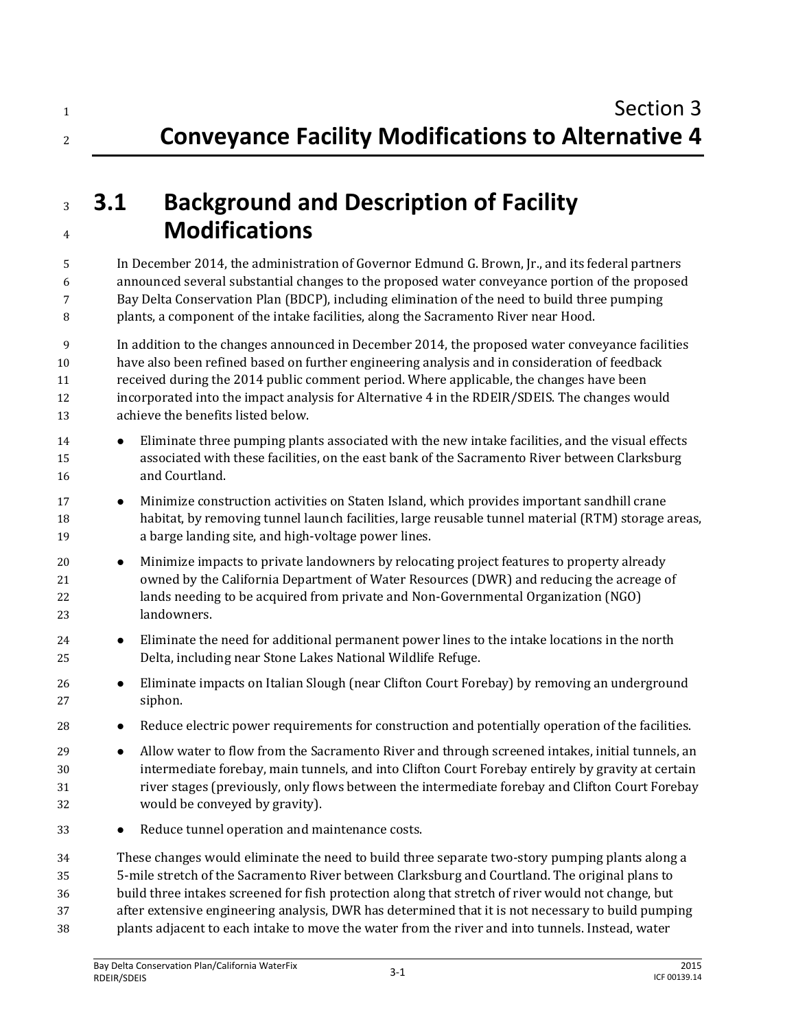# **3.1 Background and Description of Facility Modifications**

 In December 2014, the administration of Governor Edmund G. Brown, Jr., and its federal partners announced several substantial changes to the proposed water conveyance portion of the proposed Bay Delta Conservation Plan (BDCP), including elimination of the need to build three pumping plants, a component of the intake facilities, along the Sacramento River near Hood.

 In addition to the changes announced in December 2014, the proposed water conveyance facilities have also been refined based on further engineering analysis and in consideration of feedback received during the 2014 public comment period. Where applicable, the changes have been incorporated into the impact analysis for Alternative 4 in the RDEIR/SDEIS. The changes would achieve the benefits listed below.

- Eliminate three pumping plants associated with the new intake facilities, and the visual effects associated with these facilities, on the east bank of the Sacramento River between Clarksburg and Courtland.
- **••** Minimize construction activities on Staten Island, which provides important sandhill crane habitat, by removing tunnel launch facilities, large reusable tunnel material (RTM) storage areas, a barge landing site, and high-voltage power lines.
- 20 Minimize impacts to private landowners by relocating project features to property already owned by the California Department of Water Resources (DWR) and reducing the acreage of lands needing to be acquired from private and Non-Governmental Organization (NGO) landowners.
- Eliminate the need for additional permanent power lines to the intake locations in the north Delta, including near Stone Lakes National Wildlife Refuge.
- Eliminate impacts on Italian Slough (near Clifton Court Forebay) by removing an underground siphon.
- **•** Reduce electric power requirements for construction and potentially operation of the facilities.
- **Allow water to flow from the Sacramento River and through screened intakes, initial tunnels, an**  intermediate forebay, main tunnels, and into Clifton Court Forebay entirely by gravity at certain river stages (previously, only flows between the intermediate forebay and Clifton Court Forebay would be conveyed by gravity).
- **•** Reduce tunnel operation and maintenance costs.

 These changes would eliminate the need to build three separate two-story pumping plants along a 5-mile stretch of the Sacramento River between Clarksburg and Courtland. The original plans to build three intakes screened for fish protection along that stretch of river would not change, but after extensive engineering analysis, DWR has determined that it is not necessary to build pumping plants adjacent to each intake to move the water from the river and into tunnels. Instead, water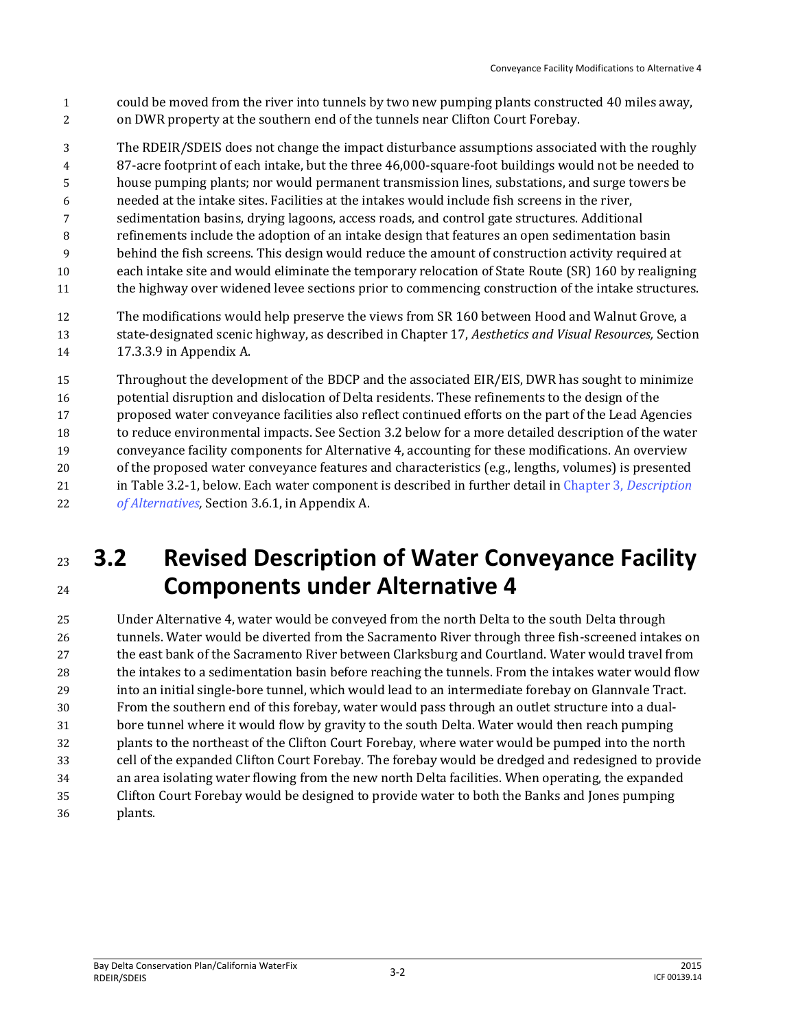- could be moved from the river into tunnels by two new pumping plants constructed 40 miles away,
- on DWR property at the southern end of the tunnels near Clifton Court Forebay.
- The RDEIR/SDEIS does not change the impact disturbance assumptions associated with the roughly
- 87-acre footprint of each intake, but the three 46,000-square-foot buildings would not be needed to
- house pumping plants; nor would permanent transmission lines, substations, and surge towers be
- needed at the intake sites. Facilities at the intakes would include fish screens in the river,
- sedimentation basins, drying lagoons, access roads, and control gate structures. Additional
- refinements include the adoption of an intake design that features an open sedimentation basin
- behind the fish screens. This design would reduce the amount of construction activity required at each intake site and would eliminate the temporary relocation of State Route (SR) 160 by realigning
- the highway over widened levee sections prior to commencing construction of the intake structures.
- The modifications would help preserve the views from SR 160 between Hood and Walnut Grove, a state-designated scenic highway, as described in Chapter 17, *Aesthetics and Visual Resources,* Section 17.3.3.9 in Appendix A.
- Throughout the development of the BDCP and the associated EIR/EIS, DWR has sought to minimize potential disruption and dislocation of Delta residents. These refinements to the design of the proposed water conveyance facilities also reflect continued efforts on the part of the Lead Agencies to reduce environmental impacts. See Section 3.2 below for a more detailed description of the water conveyance facility components for Alternative 4, accounting for these modifications. An overview of the proposed water conveyance features and characteristics (e.g., lengths, volumes) is presented in Table 3.2-1, below. Each water component is described in further detail in Chapter 3, *Description of Alternatives,* Section 3.6.1, in Appendix A.
- **3.2 Revised Description of Water Conveyance Facility Components under Alternative 4**

 Under Alternative 4, water would be conveyed from the north Delta to the south Delta through tunnels. Water would be diverted from the Sacramento River through three fish-screened intakes on the east bank of the Sacramento River between Clarksburg and Courtland. Water would travel from the intakes to a sedimentation basin before reaching the tunnels. From the intakes water would flow into an initial single-bore tunnel, which would lead to an intermediate forebay on Glannvale Tract. From the southern end of this forebay, water would pass through an outlet structure into a dual- bore tunnel where it would flow by gravity to the south Delta. Water would then reach pumping plants to the northeast of the Clifton Court Forebay, where water would be pumped into the north cell of the expanded Clifton Court Forebay. The forebay would be dredged and redesigned to provide an area isolating water flowing from the new north Delta facilities. When operating, the expanded Clifton Court Forebay would be designed to provide water to both the Banks and Jones pumping plants.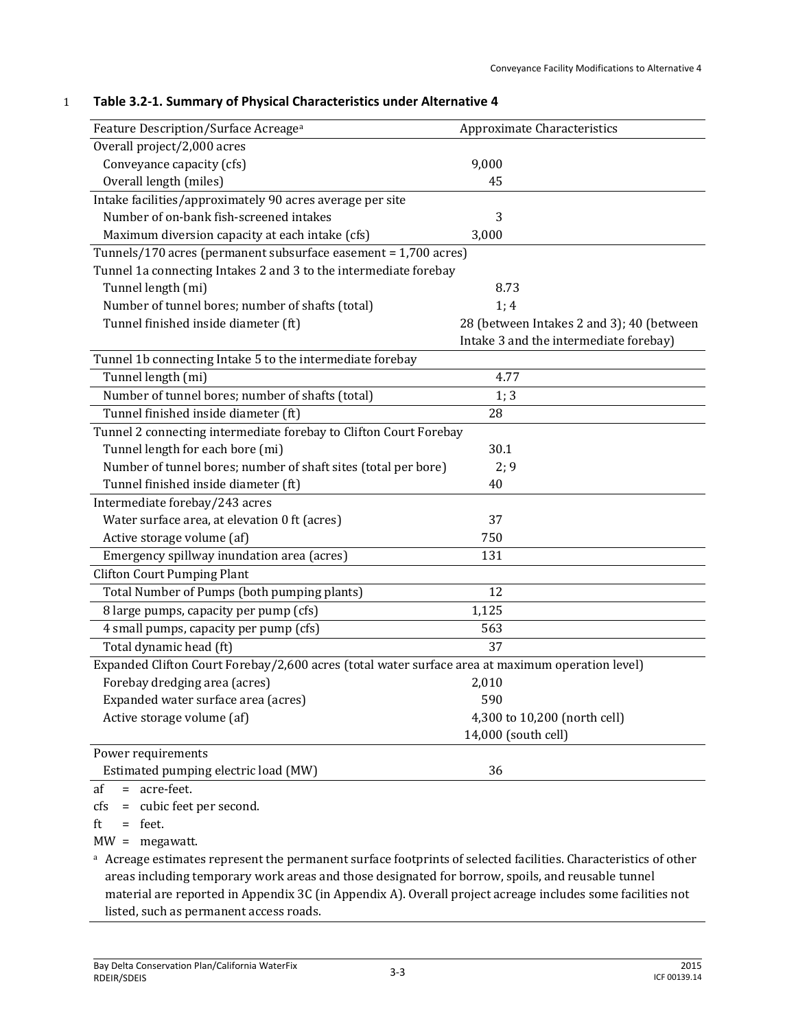| Feature Description/Surface Acreage <sup>a</sup>                                                 | Approximate Characteristics               |
|--------------------------------------------------------------------------------------------------|-------------------------------------------|
| Overall project/2,000 acres                                                                      |                                           |
| Conveyance capacity (cfs)                                                                        | 9,000                                     |
| Overall length (miles)                                                                           | 45                                        |
| Intake facilities/approximately 90 acres average per site                                        |                                           |
| Number of on-bank fish-screened intakes                                                          | 3                                         |
| Maximum diversion capacity at each intake (cfs)                                                  | 3,000                                     |
| Tunnels/170 acres (permanent subsurface easement = 1,700 acres)                                  |                                           |
| Tunnel 1a connecting Intakes 2 and 3 to the intermediate forebay                                 |                                           |
| Tunnel length (mi)                                                                               | 8.73                                      |
| Number of tunnel bores; number of shafts (total)                                                 | 1; 4                                      |
| Tunnel finished inside diameter (ft)                                                             | 28 (between Intakes 2 and 3); 40 (between |
|                                                                                                  | Intake 3 and the intermediate forebay)    |
| Tunnel 1b connecting Intake 5 to the intermediate forebay                                        |                                           |
| Tunnel length (mi)                                                                               | 4.77                                      |
| Number of tunnel bores; number of shafts (total)                                                 | 1; 3                                      |
| Tunnel finished inside diameter (ft)                                                             | 28                                        |
| Tunnel 2 connecting intermediate forebay to Clifton Court Forebay                                |                                           |
| Tunnel length for each bore (mi)                                                                 | 30.1                                      |
| Number of tunnel bores; number of shaft sites (total per bore)                                   | 2;9                                       |
| Tunnel finished inside diameter (ft)                                                             | 40                                        |
| Intermediate forebay/243 acres                                                                   |                                           |
| Water surface area, at elevation 0 ft (acres)                                                    | 37                                        |
| Active storage volume (af)                                                                       | 750                                       |
| Emergency spillway inundation area (acres)                                                       | 131                                       |
| <b>Clifton Court Pumping Plant</b>                                                               |                                           |
| Total Number of Pumps (both pumping plants)                                                      | 12                                        |
| 8 large pumps, capacity per pump (cfs)                                                           | 1,125                                     |
| 4 small pumps, capacity per pump (cfs)                                                           | 563                                       |
| Total dynamic head (ft)                                                                          | 37                                        |
| Expanded Clifton Court Forebay/2,600 acres (total water surface area at maximum operation level) |                                           |
| Forebay dredging area (acres)                                                                    | 2,010                                     |
| Expanded water surface area (acres)                                                              | 590                                       |
| Active storage volume (af)                                                                       | 4,300 to 10,200 (north cell)              |
|                                                                                                  | 14,000 (south cell)                       |
| Power requirements                                                                               |                                           |
| Estimated pumping electric load (MW)                                                             | 36                                        |
| = acre-feet.<br>af                                                                               |                                           |
| = cubic feet per second.<br>cfs                                                                  |                                           |
| f+<br>$f_{\alpha\alpha}$ +                                                                       |                                           |

#### 1 **Table 3.2-1. Summary of Physical Characteristics under Alternative 4**

 $ft = feet$ .

MW = megawatt.

a Acreage estimates represent the permanent surface footprints of selected facilities. Characteristics of other areas including temporary work areas and those designated for borrow, spoils, and reusable tunnel material are reported in Appendix 3C (in Appendix A). Overall project acreage includes some facilities not listed, such as permanent access roads.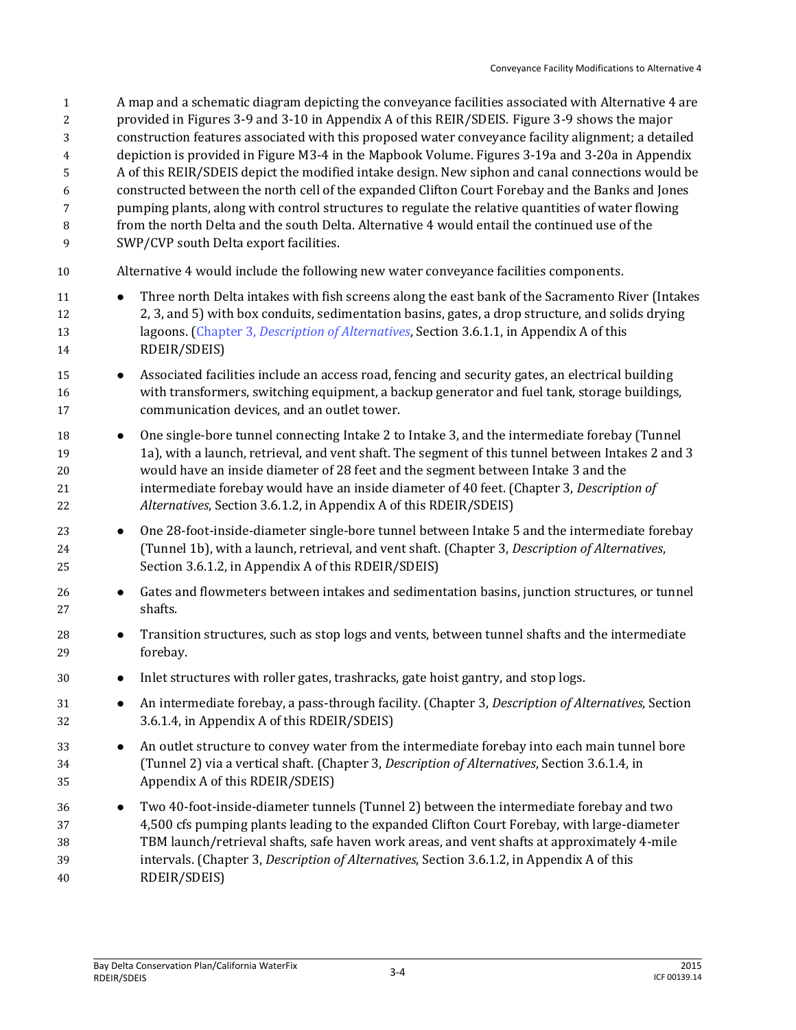A map and a schematic diagram depicting the conveyance facilities associated with Alternative 4 are provided in Figures 3-9 and 3-10 in Appendix A of this REIR/SDEIS. Figure 3-9 shows the major construction features associated with this proposed water conveyance facility alignment; a detailed depiction is provided in Figure M3-4 in the Mapbook Volume. Figures 3-19a and 3-20a in Appendix A of this REIR/SDEIS depict the modified intake design. New siphon and canal connections would be constructed between the north cell of the expanded Clifton Court Forebay and the Banks and Jones pumping plants, along with control structures to regulate the relative quantities of water flowing from the north Delta and the south Delta. Alternative 4 would entail the continued use of the SWP/CVP south Delta export facilities. Alternative 4 would include the following new water conveyance facilities components. Three north Delta intakes with fish screens along the east bank of the Sacramento River (Intakes 2, 3, and 5) with box conduits, sedimentation basins, gates, a drop structure, and solids drying lagoons. (Chapter 3, *Description of Alternatives*, Section 3.6.1.1, in Appendix A of this RDEIR/SDEIS) 15 • Associated facilities include an access road, fencing and security gates, an electrical building with transformers, switching equipment, a backup generator and fuel tank, storage buildings, communication devices, and an outlet tower. **••** One single-bore tunnel connecting Intake 2 to Intake 3, and the intermediate forebay (Tunnel 1a), with a launch, retrieval, and vent shaft. The segment of this tunnel between Intakes 2 and 3 would have an inside diameter of 28 feet and the segment between Intake 3 and the intermediate forebay would have an inside diameter of 40 feet. (Chapter 3, *Description of Alternatives*, Section 3.6.1.2, in Appendix A of this RDEIR/SDEIS) **One 28-foot-inside-diameter single-bore tunnel between Intake 5 and the intermediate forebay**  (Tunnel 1b), with a launch, retrieval, and vent shaft. (Chapter 3, *Description of Alternatives*, Section 3.6.1.2, in Appendix A of this RDEIR/SDEIS) Gates and flowmeters between intakes and sedimentation basins, junction structures, or tunnel shafts. Transition structures, such as stop logs and vents, between tunnel shafts and the intermediate forebay. Inlet structures with roller gates, trashracks, gate hoist gantry, and stop logs. An intermediate forebay, a pass-through facility. (Chapter 3, *Description of Alternatives*, Section 3.6.1.4, in Appendix A of this RDEIR/SDEIS) **An** outlet structure to convey water from the intermediate forebay into each main tunnel bore (Tunnel 2) via a vertical shaft. (Chapter 3, *Description of Alternatives*, Section 3.6.1.4, in Appendix A of this RDEIR/SDEIS) Two 40-foot-inside-diameter tunnels (Tunnel 2) between the intermediate forebay and two 4,500 cfs pumping plants leading to the expanded Clifton Court Forebay, with large-diameter TBM launch/retrieval shafts, safe haven work areas, and vent shafts at approximately 4-mile intervals. (Chapter 3, *Description of Alternatives*, Section 3.6.1.2, in Appendix A of this RDEIR/SDEIS)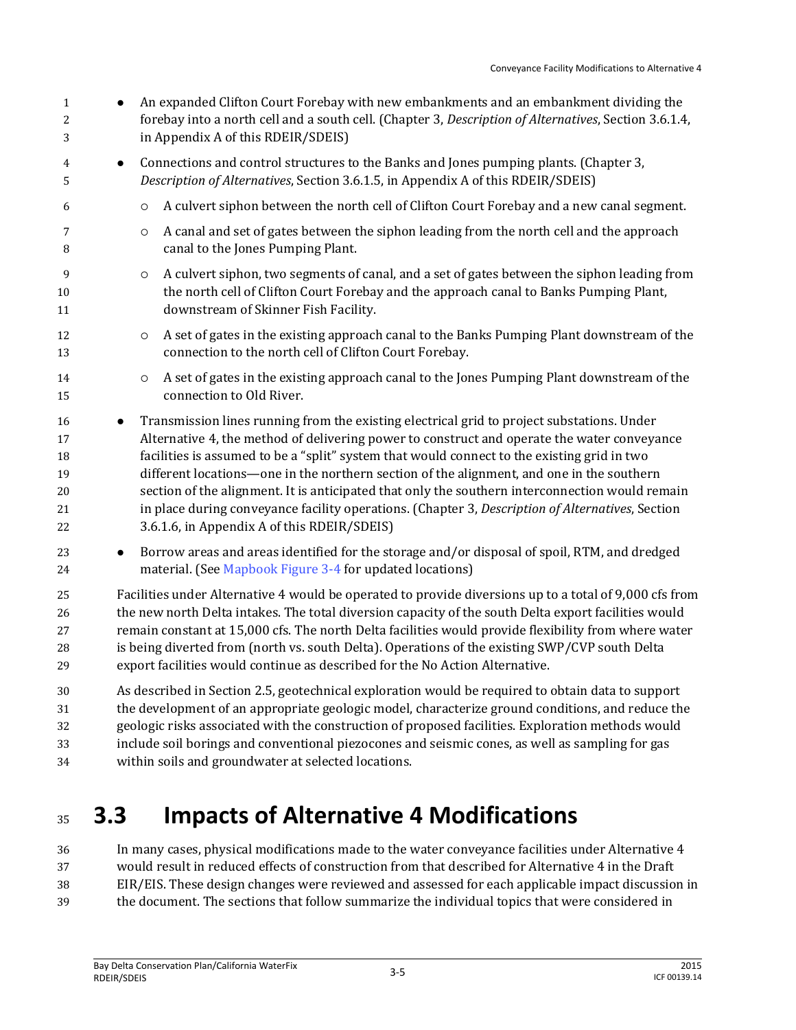- 1 An expanded Clifton Court Forebay with new embankments and an embankment dividing the forebay into a north cell and a south cell. (Chapter 3, *Description of Alternatives*, Section 3.6.1.4, in Appendix A of this RDEIR/SDEIS) Connections and control structures to the Banks and Jones pumping plants. (Chapter 3, *Description of Alternatives*, Section 3.6.1.5, in Appendix A of this RDEIR/SDEIS) A culvert siphon between the north cell of Clifton Court Forebay and a new canal segment. **A** canal and set of gates between the siphon leading from the north cell and the approach canal to the Jones Pumping Plant. **A** culvert siphon, two segments of canal, and a set of gates between the siphon leading from the north cell of Clifton Court Forebay and the approach canal to Banks Pumping Plant, downstream of Skinner Fish Facility. **A** set of gates in the existing approach canal to the Banks Pumping Plant downstream of the connection to the north cell of Clifton Court Forebay. 14  $\circ$  A set of gates in the existing approach canal to the Jones Pumping Plant downstream of the connection to Old River. **••** Transmission lines running from the existing electrical grid to project substations. Under Alternative 4, the method of delivering power to construct and operate the water conveyance facilities is assumed to be a "split" system that would connect to the existing grid in two different locations—one in the northern section of the alignment, and one in the southern section of the alignment. It is anticipated that only the southern interconnection would remain in place during conveyance facility operations. (Chapter 3, *Description of Alternatives*, Section 3.6.1.6, in Appendix A of this RDEIR/SDEIS) **Borrow areas and areas identified for the storage and/or disposal of spoil, RTM, and dredged** 24 material. (See Mapbook Figure 3-4 for updated locations) Facilities under Alternative 4 would be operated to provide diversions up to a total of 9,000 cfs from the new north Delta intakes. The total diversion capacity of the south Delta export facilities would remain constant at 15,000 cfs. The north Delta facilities would provide flexibility from where water is being diverted from (north vs. south Delta). Operations of the existing SWP/CVP south Delta export facilities would continue as described for the No Action Alternative. As described in Section 2.5, geotechnical exploration would be required to obtain data to support the development of an appropriate geologic model, characterize ground conditions, and reduce the geologic risks associated with the construction of proposed facilities. Exploration methods would include soil borings and conventional piezocones and seismic cones, as well as sampling for gas
- within soils and groundwater at selected locations.

# **3.3 Impacts of Alternative 4 Modifications**

 In many cases, physical modifications made to the water conveyance facilities under Alternative 4 would result in reduced effects of construction from that described for Alternative 4 in the Draft EIR/EIS. These design changes were reviewed and assessed for each applicable impact discussion in the document. The sections that follow summarize the individual topics that were considered in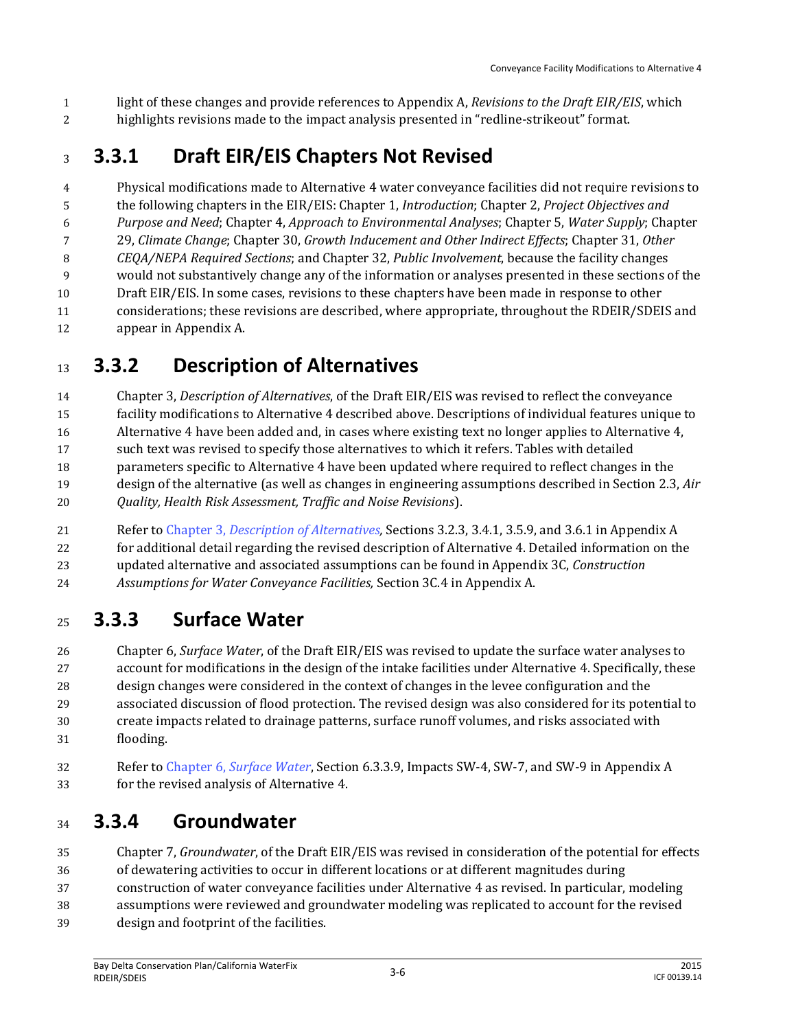light of these changes and provide references to Appendix A, *Revisions to the Draft EIR/EIS*, which highlights revisions made to the impact analysis presented in "redline-strikeout" format.

## **3.3.1 Draft EIR/EIS Chapters Not Revised**

 Physical modifications made to Alternative 4 water conveyance facilities did not require revisions to the following chapters in the EIR/EIS: Chapter 1, *Introduction*; Chapter 2, *Project Objectives and Purpose and Need*; Chapter 4, *Approach to Environmental Analyses*; Chapter 5, *Water Supply*; Chapter 29, *Climate Change*; Chapter 30, *Growth Inducement and Other Indirect Effects*; Chapter 31, *Other CEQA/NEPA Required Sections*; and Chapter 32, *Public Involvement*, because the facility changes would not substantively change any of the information or analyses presented in these sections of the Draft EIR/EIS. In some cases, revisions to these chapters have been made in response to other considerations; these revisions are described, where appropriate, throughout the RDEIR/SDEIS and appear in Appendix A.

## **3.3.2 Description of Alternatives**

 Chapter 3, *Description of Alternatives*, of the Draft EIR/EIS was revised to reflect the conveyance facility modifications to Alternative 4 described above. Descriptions of individual features unique to Alternative 4 have been added and, in cases where existing text no longer applies to Alternative 4, such text was revised to specify those alternatives to which it refers. Tables with detailed parameters specific to Alternative 4 have been updated where required to reflect changes in the design of the alternative (as well as changes in engineering assumptions described in Section 2.3, *Air Quality, Health Risk Assessment, Traffic and Noise Revisions*).

 Refer to Chapter 3, *Description of Alternatives,* Sections 3.2.3, 3.4.1, 3.5.9, and 3.6.1 in Appendix A for additional detail regarding the revised description of Alternative 4. Detailed information on the updated alternative and associated assumptions can be found in Appendix 3C, *Construction Assumptions for Water Conveyance Facilities,* Section 3C.4 in Appendix A.

## **3.3.3 Surface Water**

 Chapter 6, *Surface Water*, of the Draft EIR/EIS was revised to update the surface water analyses to account for modifications in the design of the intake facilities under Alternative 4. Specifically, these design changes were considered in the context of changes in the levee configuration and the associated discussion of flood protection. The revised design was also considered for its potential to create impacts related to drainage patterns, surface runoff volumes, and risks associated with flooding.

 Refer to Chapter 6, *Surface Water*, Section 6.3.3.9, Impacts SW-4, SW-7, and SW-9 in Appendix A for the revised analysis of Alternative 4.

#### **3.3.4 Groundwater**

 Chapter 7, *Groundwater*, of the Draft EIR/EIS was revised in consideration of the potential for effects of dewatering activities to occur in different locations or at different magnitudes during

- construction of water conveyance facilities under Alternative 4 as revised. In particular, modeling
- assumptions were reviewed and groundwater modeling was replicated to account for the revised
- design and footprint of the facilities.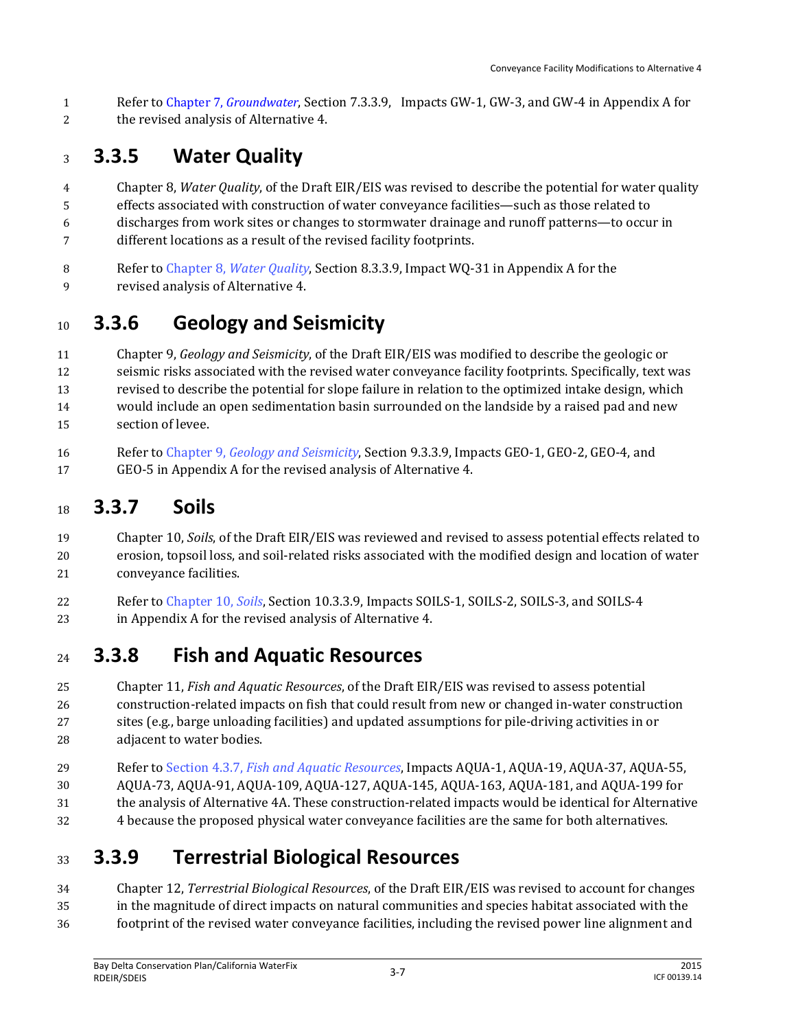Refer to Chapter 7, *Groundwater*, Section 7.3.3.9, Impacts GW-1, GW-3, and GW-4 in Appendix A for the revised analysis of Alternative 4.

## **3.3.5 Water Quality**

- Chapter 8, *Water Quality*, of the Draft EIR/EIS was revised to describe the potential for water quality
- effects associated with construction of water conveyance facilities—such as those related to
- discharges from work sites or changes to stormwater drainage and runoff patterns—to occur in different locations as a result of the revised facility footprints.
- 
- Refer to Chapter 8, *Water Quality*, Section 8.3.3.9, Impact WQ-31 in Appendix A for the
- revised analysis of Alternative 4.

## **3.3.6 Geology and Seismicity**

 Chapter 9, *Geology and Seismicity*, of the Draft EIR/EIS was modified to describe the geologic or seismic risks associated with the revised water conveyance facility footprints. Specifically, text was revised to describe the potential for slope failure in relation to the optimized intake design, which would include an open sedimentation basin surrounded on the landside by a raised pad and new section of levee.

 Refer to Chapter 9, *Geology and Seismicity*, Section 9.3.3.9, Impacts GEO-1, GEO-2, GEO-4, and GEO-5 in Appendix A for the revised analysis of Alternative 4.

## **3.3.7 Soils**

- Chapter 10, *Soils*, of the Draft EIR/EIS was reviewed and revised to assess potential effects related to erosion, topsoil loss, and soil-related risks associated with the modified design and location of water conveyance facilities.
- Refer to Chapter 10, *Soils*, Section 10.3.3.9, Impacts SOILS-1, SOILS-2, SOILS-3, and SOILS-4 in Appendix A for the revised analysis of Alternative 4.

## **3.3.8 Fish and Aquatic Resources**

- Chapter 11, *Fish and Aquatic Resources*, of the Draft EIR/EIS was revised to assess potential construction-related impacts on fish that could result from new or changed in-water construction sites (e.g., barge unloading facilities) and updated assumptions for pile-driving activities in or adjacent to water bodies.
- Refer to Section 4.3.7, *Fish and Aquatic Resources*, Impacts AQUA-1, AQUA-19, AQUA-37, AQUA-55,
- AQUA-73, AQUA-91, AQUA-109, AQUA-127, AQUA-145, AQUA-163, AQUA-181, and AQUA-199 for
- the analysis of Alternative 4A. These construction-related impacts would be identical for Alternative
- 4 because the proposed physical water conveyance facilities are the same for both alternatives.

## **3.3.9 Terrestrial Biological Resources**

 Chapter 12, *Terrestrial Biological Resources*, of the Draft EIR/EIS was revised to account for changes in the magnitude of direct impacts on natural communities and species habitat associated with the footprint of the revised water conveyance facilities, including the revised power line alignment and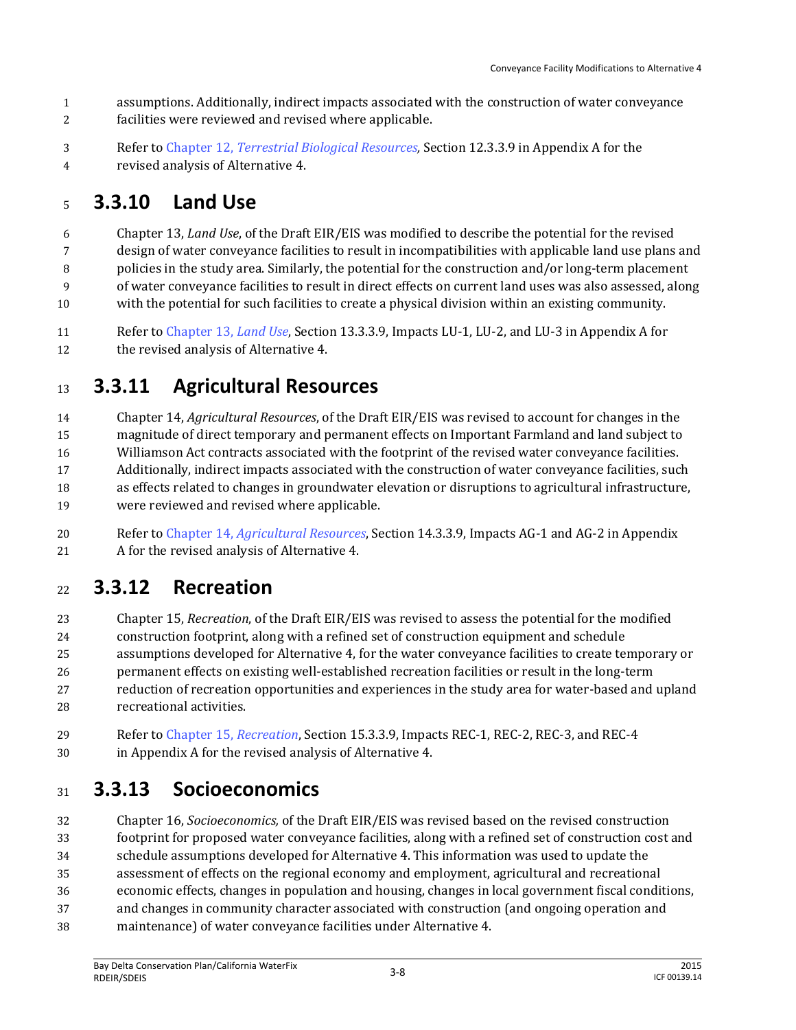- assumptions. Additionally, indirect impacts associated with the construction of water conveyance
- facilities were reviewed and revised where applicable.
- Refer to Chapter 12, *Terrestrial Biological Resources,* Section 12.3.3.9 in Appendix A for the
- revised analysis of Alternative 4.

#### **3.3.10 Land Use**

 Chapter 13, *Land Use*, of the Draft EIR/EIS was modified to describe the potential for the revised design of water conveyance facilities to result in incompatibilities with applicable land use plans and

policies in the study area. Similarly, the potential for the construction and/or long-term placement

of water conveyance facilities to result in direct effects on current land uses was also assessed, along

with the potential for such facilities to create a physical division within an existing community.

 Refer to Chapter 13, *Land Use*, Section 13.3.3.9, Impacts LU-1, LU-2, and LU-3 in Appendix A for 12 the revised analysis of Alternative 4.

## **3.3.11 Agricultural Resources**

 Chapter 14, *Agricultural Resources*, of the Draft EIR/EIS was revised to account for changes in the magnitude of direct temporary and permanent effects on Important Farmland and land subject to Williamson Act contracts associated with the footprint of the revised water conveyance facilities. Additionally, indirect impacts associated with the construction of water conveyance facilities, such as effects related to changes in groundwater elevation or disruptions to agricultural infrastructure, were reviewed and revised where applicable.

 Refer to Chapter 14, *Agricultural Resources*, Section 14.3.3.9, Impacts AG-1 and AG-2 in Appendix A for the revised analysis of Alternative 4.

#### **3.3.12 Recreation**

 Chapter 15, *Recreation*, of the Draft EIR/EIS was revised to assess the potential for the modified construction footprint, along with a refined set of construction equipment and schedule assumptions developed for Alternative 4, for the water conveyance facilities to create temporary or permanent effects on existing well-established recreation facilities or result in the long-term reduction of recreation opportunities and experiences in the study area for water-based and upland recreational activities.

 Refer to Chapter 15, *Recreation*, Section 15.3.3.9, Impacts REC-1, REC-2, REC-3, and REC-4 in Appendix A for the revised analysis of Alternative 4.

## **3.3.13 Socioeconomics**

 Chapter 16, *Socioeconomics,* of the Draft EIR/EIS was revised based on the revised construction footprint for proposed water conveyance facilities, along with a refined set of construction cost and schedule assumptions developed for Alternative 4. This information was used to update the assessment of effects on the regional economy and employment, agricultural and recreational economic effects, changes in population and housing, changes in local government fiscal conditions, and changes in community character associated with construction (and ongoing operation and maintenance) of water conveyance facilities under Alternative 4.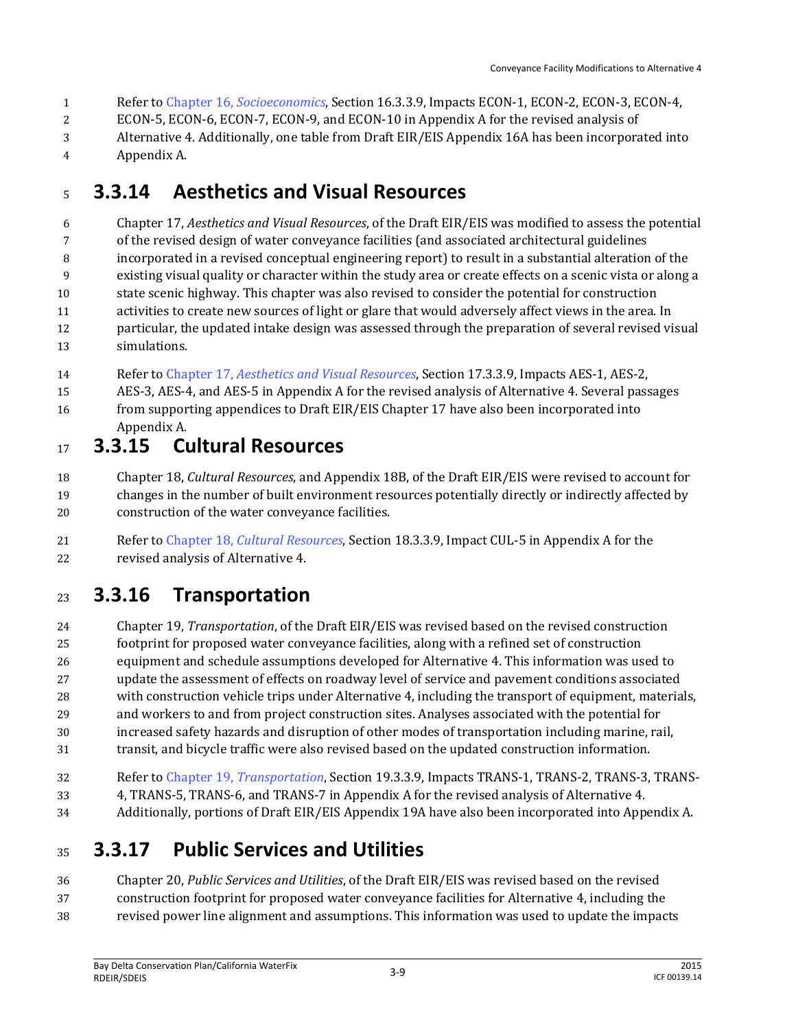- Refer to Chapter 16, *Socioeconomics*, Section 16.3.3.9, Impacts ECON-1, ECON-2, ECON-3, ECON-4,
- ECON-5, ECON-6, ECON-7, ECON-9, and ECON-10 in Appendix A for the revised analysis of
- Alternative 4. Additionally, one table from Draft EIR/EIS Appendix 16A has been incorporated into
- Appendix A.

## **3.3.14 Aesthetics and Visual Resources**

 Chapter 17, *Aesthetics and Visual Resources*, of the Draft EIR/EIS was modified to assess the potential of the revised design of water conveyance facilities (and associated architectural guidelines incorporated in a revised conceptual engineering report) to result in a substantial alteration of the existing visual quality or character within the study area or create effects on a scenic vista or along a state scenic highway. This chapter was also revised to consider the potential for construction activities to create new sources of light or glare that would adversely affect views in the area. In particular, the updated intake design was assessed through the preparation of several revised visual simulations.

- Refer to Chapter 17, *Aesthetics and Visual Resources*, Section 17.3.3.9, Impacts AES-1, AES-2,
- AES-3, AES-4, and AES-5 in Appendix A for the revised analysis of Alternative 4. Several passages from supporting appendices to Draft EIR/EIS Chapter 17 have also been incorporated into Appendix A.

## **3.3.15 Cultural Resources**

 Chapter 18, *Cultural Resources*, and Appendix 18B, of the Draft EIR/EIS were revised to account for changes in the number of built environment resources potentially directly or indirectly affected by construction of the water conveyance facilities.

 Refer to Chapter 18, *Cultural Resources*, Section 18.3.3.9, Impact CUL-5 in Appendix A for the revised analysis of Alternative 4.

## **3.3.16 Transportation**

 Chapter 19, *Transportation*, of the Draft EIR/EIS was revised based on the revised construction footprint for proposed water conveyance facilities, along with a refined set of construction equipment and schedule assumptions developed for Alternative 4. This information was used to update the assessment of effects on roadway level of service and pavement conditions associated with construction vehicle trips under Alternative 4, including the transport of equipment, materials, and workers to and from project construction sites. Analyses associated with the potential for increased safety hazards and disruption of other modes of transportation including marine, rail, transit, and bicycle traffic were also revised based on the updated construction information.

- Refer to Chapter 19, *Transportation*, Section 19.3.3.9, Impacts TRANS-1, TRANS-2, TRANS-3, TRANS-
- 4, TRANS-5, TRANS-6, and TRANS-7 in Appendix A for the revised analysis of Alternative 4.
- Additionally, portions of Draft EIR/EIS Appendix 19A have also been incorporated into Appendix A.

#### **3.3.17 Public Services and Utilities**

 Chapter 20, *Public Services and Utilities*, of the Draft EIR/EIS was revised based on the revised construction footprint for proposed water conveyance facilities for Alternative 4, including the

revised power line alignment and assumptions. This information was used to update the impacts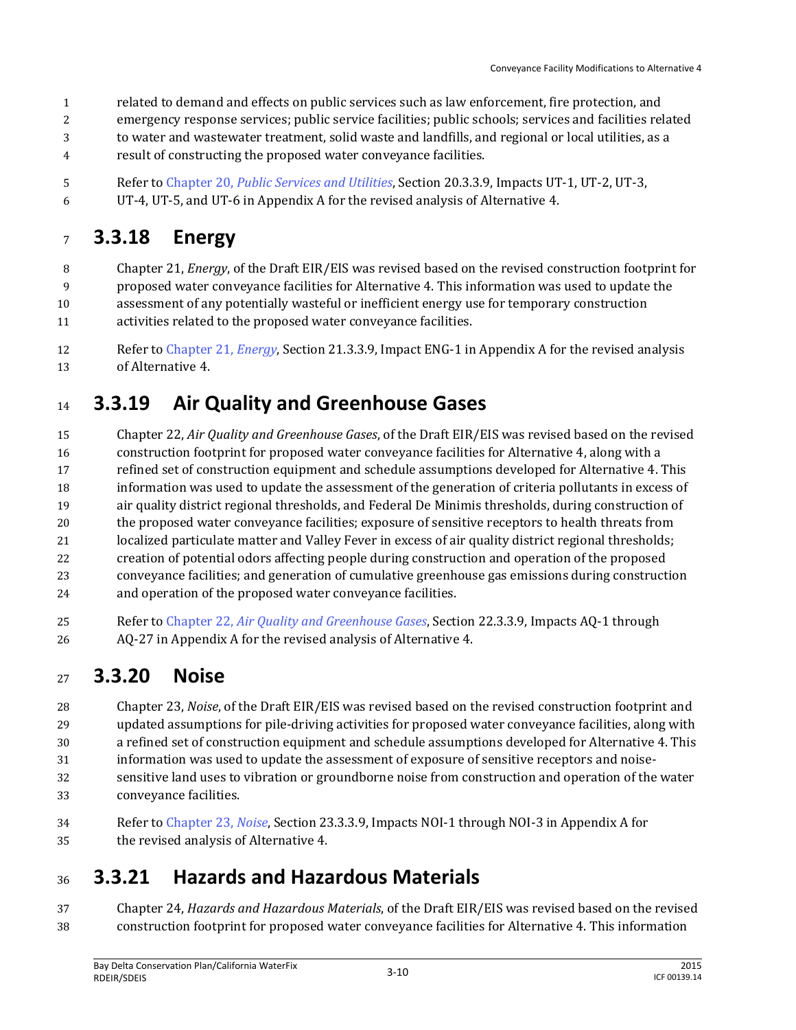- related to demand and effects on public services such as law enforcement, fire protection, and
- emergency response services; public service facilities; public schools; services and facilities related
- to water and wastewater treatment, solid waste and landfills, and regional or local utilities, as a
- result of constructing the proposed water conveyance facilities.
- Refer to Chapter 20, *Public Services and Utilities*, Section 20.3.3.9, Impacts UT-1, UT-2, UT-3,
- UT-4, UT-5, and UT-6 in Appendix A for the revised analysis of Alternative 4.

## **3.3.18 Energy**

- Chapter 21, *Energy*, of the Draft EIR/EIS was revised based on the revised construction footprint for proposed water conveyance facilities for Alternative 4. This information was used to update the assessment of any potentially wasteful or inefficient energy use for temporary construction activities related to the proposed water conveyance facilities.
- Refer to Chapter 21, *Energy*, Section 21.3.3.9, Impact ENG-1 in Appendix A for the revised analysis of Alternative 4.

## **3.3.19 Air Quality and Greenhouse Gases**

 Chapter 22, *Air Quality and Greenhouse Gases*, of the Draft EIR/EIS was revised based on the revised construction footprint for proposed water conveyance facilities for Alternative 4, along with a refined set of construction equipment and schedule assumptions developed for Alternative 4. This information was used to update the assessment of the generation of criteria pollutants in excess of air quality district regional thresholds, and Federal De Minimis thresholds, during construction of the proposed water conveyance facilities; exposure of sensitive receptors to health threats from localized particulate matter and Valley Fever in excess of air quality district regional thresholds; creation of potential odors affecting people during construction and operation of the proposed conveyance facilities; and generation of cumulative greenhouse gas emissions during construction and operation of the proposed water conveyance facilities.

 Refer to Chapter 22, *Air Quality and Greenhouse Gases*, Section 22.3.3.9, Impacts AQ-1 through AQ-27 in Appendix A for the revised analysis of Alternative 4.

#### **3.3.20 Noise**

- Chapter 23, *Noise*, of the Draft EIR/EIS was revised based on the revised construction footprint and updated assumptions for pile-driving activities for proposed water conveyance facilities, along with a refined set of construction equipment and schedule assumptions developed for Alternative 4. This
- information was used to update the assessment of exposure of sensitive receptors and noise-
- sensitive land uses to vibration or groundborne noise from construction and operation of the water conveyance facilities.
- Refer to Chapter 23, *Noise*, Section 23.3.3.9, Impacts NOI-1 through NOI-3 in Appendix A for the revised analysis of Alternative 4.

#### **3.3.21 Hazards and Hazardous Materials**

 Chapter 24, *Hazards and Hazardous Materials*, of the Draft EIR/EIS was revised based on the revised construction footprint for proposed water conveyance facilities for Alternative 4. This information